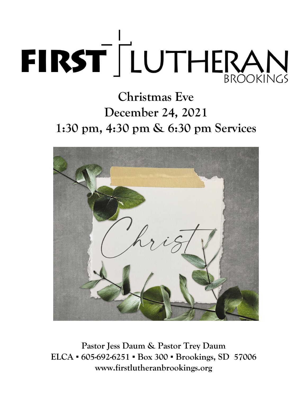

# **Christmas Eve December 24, 2021 1:30 pm, 4:30 pm & 6:30 pm Services**



**Pastor Jess Daum & Pastor Trey Daum ELCA ▪ 605-692-6251 ▪ Box 300 ▪ Brookings, SD 57006 www.firstlutheranbrookings.org**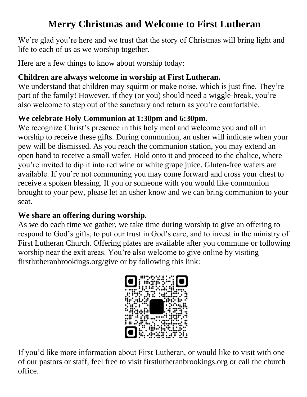### **Merry Christmas and Welcome to First Lutheran**

We're glad you're here and we trust that the story of Christmas will bring light and life to each of us as we worship together.

Here are a few things to know about worship today:

#### **Children are always welcome in worship at First Lutheran.**

We understand that children may squirm or make noise, which is just fine. They're part of the family! However, if they (or you) should need a wiggle-break, you're also welcome to step out of the sanctuary and return as you're comfortable.

#### **We celebrate Holy Communion at 1:30pm and 6:30pm**.

We recognize Christ's presence in this holy meal and welcome you and all in worship to receive these gifts. During communion, an usher will indicate when your pew will be dismissed. As you reach the communion station, you may extend an open hand to receive a small wafer. Hold onto it and proceed to the chalice, where you're invited to dip it into red wine or white grape juice. Gluten-free wafers are available. If you're not communing you may come forward and cross your chest to receive a spoken blessing. If you or someone with you would like communion brought to your pew, please let an usher know and we can bring communion to your seat.

#### **We share an offering during worship.**

As we do each time we gather, we take time during worship to give an offering to respond to God's gifts, to put our trust in God's care, and to invest in the ministry of First Lutheran Church. Offering plates are available after you commune or following worship near the exit areas. You're also welcome to give online by visiting firstlutheranbrookings.org/give or by following this link:



If you'd like more information about First Lutheran, or would like to visit with one of our pastors or staff, feel free to visit firstlutheranbrookings.org or call the church office.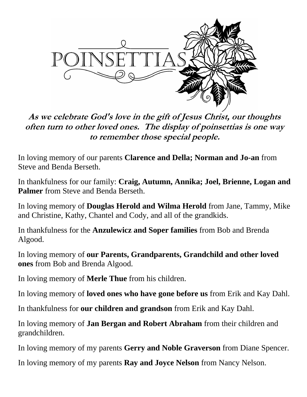

**As we celebrate God's love in the gift of Jesus Christ, our thoughts often turn to other loved ones. The display of poinsettias is one way to remember those special people.** 

In loving memory of our parents **Clarence and Della; Norman and Jo-an** from Steve and Benda Berseth.

In thankfulness for our family: **Craig, Autumn, Annika; Joel, Brienne, Logan and Palmer** from Steve and Benda Berseth.

In loving memory of **Douglas Herold and Wilma Herold** from Jane, Tammy, Mike and Christine, Kathy, Chantel and Cody, and all of the grandkids.

In thankfulness for the **Anzulewicz and Soper families** from Bob and Brenda Algood.

In loving memory of **our Parents, Grandparents, Grandchild and other loved ones** from Bob and Brenda Algood.

In loving memory of **Merle Thue** from his children.

In loving memory of **loved ones who have gone before us** from Erik and Kay Dahl.

In thankfulness for **our children and grandson** from Erik and Kay Dahl.

In loving memory of **Jan Bergan and Robert Abraham** from their children and grandchildren.

In loving memory of my parents **Gerry and Noble Graverson** from Diane Spencer.

In loving memory of my parents **Ray and Joyce Nelson** from Nancy Nelson.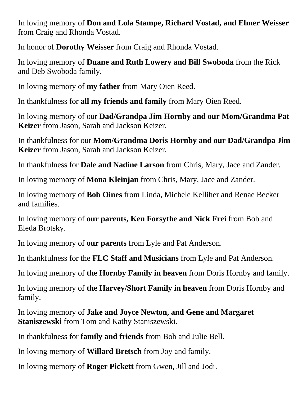In loving memory of **Don and Lola Stampe, Richard Vostad, and Elmer Weisser** from Craig and Rhonda Vostad.

In honor of **Dorothy Weisser** from Craig and Rhonda Vostad.

In loving memory of **Duane and Ruth Lowery and Bill Swoboda** from the Rick and Deb Swoboda family.

In loving memory of **my father** from Mary Oien Reed.

In thankfulness for **all my friends and family** from Mary Oien Reed.

In loving memory of our **Dad/Grandpa Jim Hornby and our Mom/Grandma Pat Keizer** from Jason, Sarah and Jackson Keizer.

In thankfulness for our **Mom/Grandma Doris Hornby and our Dad/Grandpa Jim Keizer** from Jason, Sarah and Jackson Keizer.

In thankfulness for **Dale and Nadine Larson** from Chris, Mary, Jace and Zander.

In loving memory of **Mona Kleinjan** from Chris, Mary, Jace and Zander.

In loving memory of **Bob Oines** from Linda, Michele Kelliher and Renae Becker and families.

In loving memory of **our parents, Ken Forsythe and Nick Frei** from Bob and Eleda Brotsky.

In loving memory of **our parents** from Lyle and Pat Anderson.

In thankfulness for the **FLC Staff and Musicians** from Lyle and Pat Anderson.

In loving memory of **the Hornby Family in heaven** from Doris Hornby and family.

In loving memory of **the Harvey/Short Family in heaven** from Doris Hornby and family.

In loving memory of **Jake and Joyce Newton, and Gene and Margaret Staniszewski** from Tom and Kathy Staniszewski.

In thankfulness for **family and friends** from Bob and Julie Bell.

In loving memory of **Willard Bretsch** from Joy and family.

In loving memory of **Roger Pickett** from Gwen, Jill and Jodi.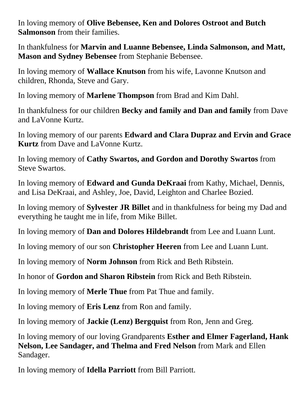In loving memory of **Olive Bebensee, Ken and Dolores Ostroot and Butch Salmonson** from their families.

In thankfulness for **Marvin and Luanne Bebensee, Linda Salmonson, and Matt, Mason and Sydney Bebensee** from Stephanie Bebensee.

In loving memory of **Wallace Knutson** from his wife, Lavonne Knutson and children, Rhonda, Steve and Gary.

In loving memory of **Marlene Thompson** from Brad and Kim Dahl.

In thankfulness for our children **Becky and family and Dan and family** from Dave and LaVonne Kurtz.

In loving memory of our parents **Edward and Clara Dupraz and Ervin and Grace Kurtz** from Dave and LaVonne Kurtz.

In loving memory of **Cathy Swartos, and Gordon and Dorothy Swartos** from Steve Swartos.

In loving memory of **Edward and Gunda DeKraai** from Kathy, Michael, Dennis, and Lisa DeKraai, and Ashley, Joe, David, Leighton and Charlee Bozied.

In loving memory of **Sylvester JR Billet** and in thankfulness for being my Dad and everything he taught me in life, from Mike Billet.

In loving memory of **Dan and Dolores Hildebrandt** from Lee and Luann Lunt.

In loving memory of our son **Christopher Heeren** from Lee and Luann Lunt.

In loving memory of **Norm Johnson** from Rick and Beth Ribstein.

In honor of **Gordon and Sharon Ribstein** from Rick and Beth Ribstein.

In loving memory of **Merle Thue** from Pat Thue and family.

In loving memory of **Eris Lenz** from Ron and family.

In loving memory of **Jackie (Lenz) Bergquist** from Ron, Jenn and Greg.

In loving memory of our loving Grandparents **Esther and Elmer Fagerland, Hank Nelson, Lee Sandager, and Thelma and Fred Nelson** from Mark and Ellen Sandager.

In loving memory of **Idella Parriott** from Bill Parriott.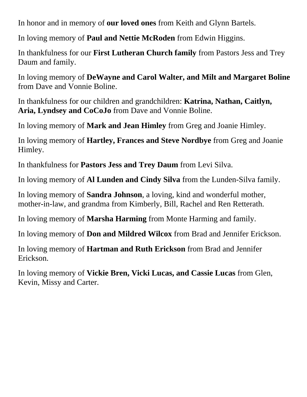In honor and in memory of **our loved ones** from Keith and Glynn Bartels.

In loving memory of **Paul and Nettie McRoden** from Edwin Higgins.

In thankfulness for our **First Lutheran Church family** from Pastors Jess and Trey Daum and family.

In loving memory of **DeWayne and Carol Walter, and Milt and Margaret Boline** from Dave and Vonnie Boline.

In thankfulness for our children and grandchildren: **Katrina, Nathan, Caitlyn, Aria, Lyndsey and CoCoJo** from Dave and Vonnie Boline.

In loving memory of **Mark and Jean Himley** from Greg and Joanie Himley.

In loving memory of **Hartley, Frances and Steve Nordbye** from Greg and Joanie Himley.

In thankfulness for **Pastors Jess and Trey Daum** from Levi Silva.

In loving memory of **Al Lunden and Cindy Silva** from the Lunden-Silva family.

In loving memory of **Sandra Johnson**, a loving, kind and wonderful mother, mother-in-law, and grandma from Kimberly, Bill, Rachel and Ren Retterath.

In loving memory of **Marsha Harming** from Monte Harming and family.

In loving memory of **Don and Mildred Wilcox** from Brad and Jennifer Erickson.

In loving memory of **Hartman and Ruth Erickson** from Brad and Jennifer Erickson.

In loving memory of **Vickie Bren, Vicki Lucas, and Cassie Lucas** from Glen, Kevin, Missy and Carter.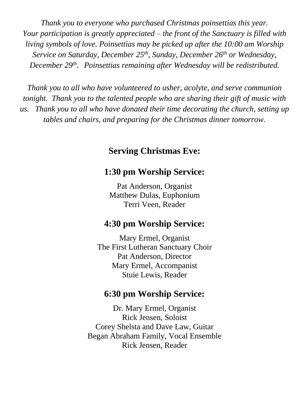*Thank you to everyone who purchased Christmas poinsettias this year. Your participation is greatly appreciated – the front of the Sanctuary is filled with living symbols of love. Poinsettias may be picked up after the 10:00 am Worship Service on Saturday, December 25 th, Sunday, December 26th or Wednesday, December 29th . Poinsettias remaining after Wednesday will be redistributed.* 

*Thank you to all who have volunteered to usher, acolyte, and serve communion tonight. Thank you to the talented people who are sharing their gift of music with us. Thank you to all who have donated their time decorating the church, setting up tables and chairs, and preparing for the Christmas dinner tomorrow.* 

#### **Serving Christmas Eve:**

#### **1:30 pm Worship Service:**

Pat Anderson, Organist Matthew Dulas, Euphonium Terri Veen, Reader

#### **4:30 pm Worship Service:**

Mary Ermel, Organist The First Lutheran Sanctuary Choir Pat Anderson, Director Mary Ermel, Accompanist Stuie Lewis, Reader

#### **6:30 pm Worship Service:**

Dr. Mary Ermel, Organist Rick Jensen, Soloist Corey Shelsta and Dave Law, Guitar Began Abraham Family, Vocal Ensemble Rick Jensen, Reader